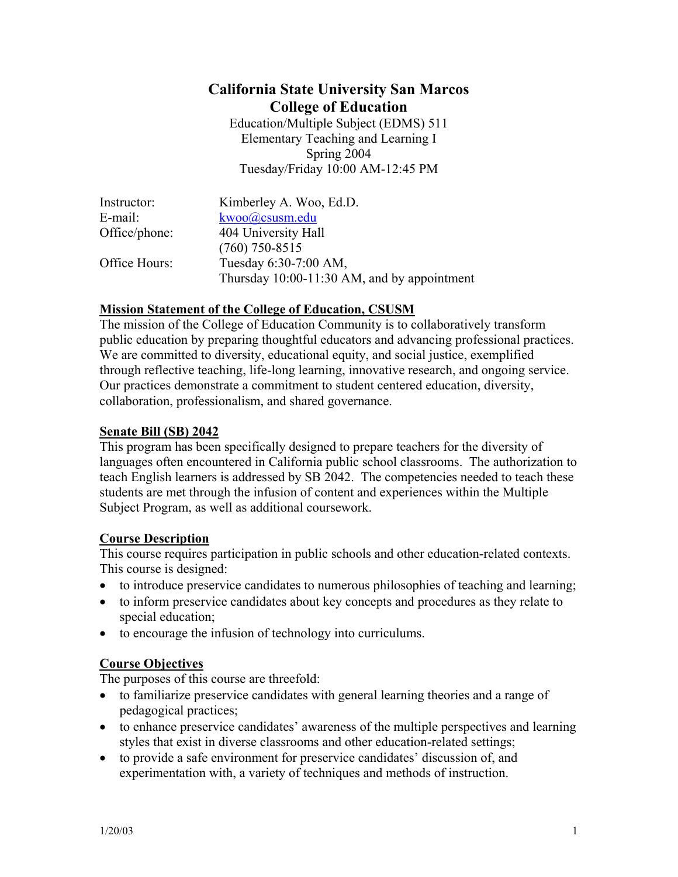# **California State University San Marcos College of Education**

Education/Multiple Subject (EDMS) 511 Elementary Teaching and Learning I Spring 2004 Tuesday/Friday 10:00 AM-12:45 PM

| Instructor:   | Kimberley A. Woo, Ed.D.                     |
|---------------|---------------------------------------------|
| E-mail:       | kwoo@csusm.edu                              |
| Office/phone: | 404 University Hall                         |
|               | $(760)$ 750-8515                            |
| Office Hours: | Tuesday 6:30-7:00 AM,                       |
|               | Thursday 10:00-11:30 AM, and by appointment |

#### **Mission Statement of the College of Education, CSUSM**

The mission of the College of Education Community is to collaboratively transform public education by preparing thoughtful educators and advancing professional practices. We are committed to diversity, educational equity, and social justice, exemplified through reflective teaching, life-long learning, innovative research, and ongoing service. Our practices demonstrate a commitment to student centered education, diversity, collaboration, professionalism, and shared governance.

#### **Senate Bill (SB) 2042**

This program has been specifically designed to prepare teachers for the diversity of languages often encountered in California public school classrooms. The authorization to teach English learners is addressed by SB 2042. The competencies needed to teach these students are met through the infusion of content and experiences within the Multiple Subject Program, as well as additional coursework.

#### **Course Description**

This course requires participation in public schools and other education-related contexts. This course is designed:

- to introduce preservice candidates to numerous philosophies of teaching and learning;
- to inform preservice candidates about key concepts and procedures as they relate to special education;
- to encourage the infusion of technology into curriculums.

## **Course Objectives**

The purposes of this course are threefold:

- to familiarize preservice candidates with general learning theories and a range of pedagogical practices;
- to enhance preservice candidates' awareness of the multiple perspectives and learning styles that exist in diverse classrooms and other education-related settings;
- to provide a safe environment for preservice candidates' discussion of, and experimentation with, a variety of techniques and methods of instruction.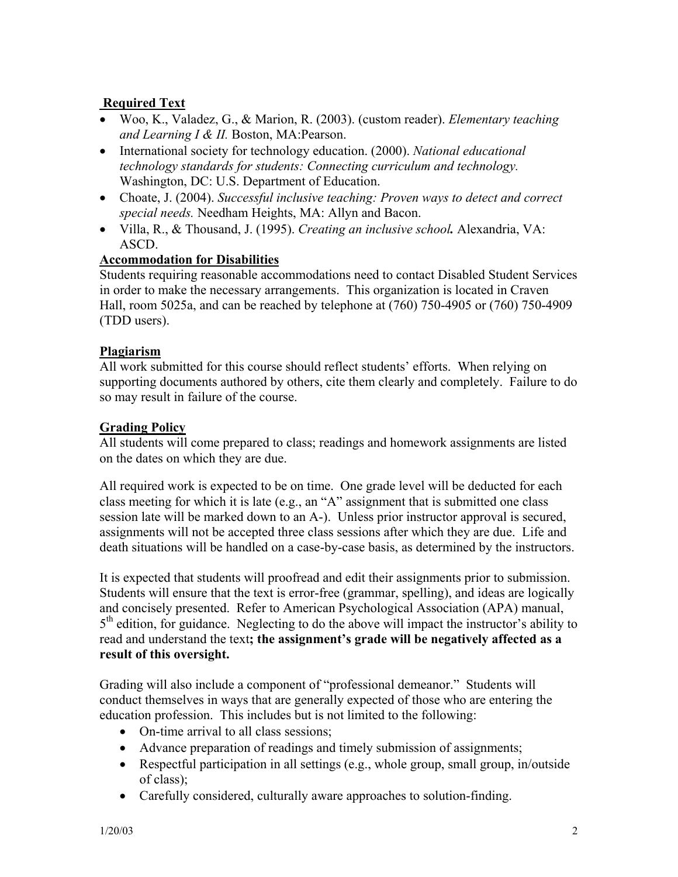## **Required Text**

- Woo, K., Valadez, G., & Marion, R. (2003). (custom reader). *Elementary teaching and Learning I & II.* Boston, MA:Pearson.
- International society for technology education. (2000). *National educational technology standards for students: Connecting curriculum and technology.* Washington, DC: U.S. Department of Education.
- Choate, J. (2004). *Successful inclusive teaching: Proven ways to detect and correct special needs.* Needham Heights, MA: Allyn and Bacon.
- Villa, R., & Thousand, J. (1995). *Creating an inclusive school.* Alexandria, VA: ASCD.

## **Accommodation for Disabilities**

Students requiring reasonable accommodations need to contact Disabled Student Services in order to make the necessary arrangements. This organization is located in Craven Hall, room 5025a, and can be reached by telephone at (760) 750-4905 or (760) 750-4909 (TDD users).

#### **Plagiarism**

All work submitted for this course should reflect students' efforts. When relying on supporting documents authored by others, cite them clearly and completely. Failure to do so may result in failure of the course.

## **Grading Policy**

All students will come prepared to class; readings and homework assignments are listed on the dates on which they are due.

All required work is expected to be on time. One grade level will be deducted for each class meeting for which it is late (e.g., an "A" assignment that is submitted one class session late will be marked down to an A-). Unless prior instructor approval is secured, assignments will not be accepted three class sessions after which they are due. Life and death situations will be handled on a case-by-case basis, as determined by the instructors.

It is expected that students will proofread and edit their assignments prior to submission. Students will ensure that the text is error-free (grammar, spelling), and ideas are logically and concisely presented. Refer to American Psychological Association (APA) manual,  $5<sup>th</sup>$  edition, for guidance. Neglecting to do the above will impact the instructor's ability to read and understand the text**; the assignment's grade will be negatively affected as a result of this oversight.** 

Grading will also include a component of "professional demeanor." Students will conduct themselves in ways that are generally expected of those who are entering the education profession. This includes but is not limited to the following:

- On-time arrival to all class sessions;
- Advance preparation of readings and timely submission of assignments;
- Respectful participation in all settings (e.g., whole group, small group, in/outside of class);
- Carefully considered, culturally aware approaches to solution-finding.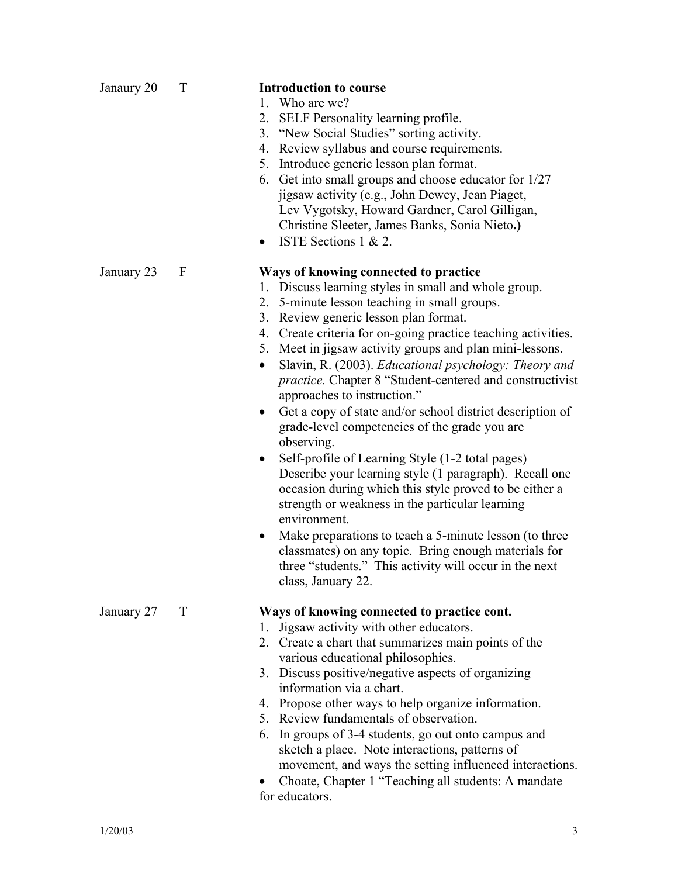# January 23 F **Ways of knowing connected to practice** 1. Discuss learning styles in small and whole group. 2. 5-minute lesson teaching in small groups. 3. Review generic lesson plan format. 5. Meet in jigsaw activity groups and plan mini-lessons. approaches to instruction." grade-level competencies of the grade you are observing. • Self-profile of Learning Style (1-2 total pages) occasion during which this style proved to be either a strength or weakness in the particular learning environment. • Make preparations to teach a 5-minute lesson (to three classmates) on any topic. Bring enough materials for three "students." This activity will occur in the next class, January 22. January 27 T **Ways of knowing connected to practice cont.** 1. Jigsaw activity with other educators. 2. Create a chart that summarizes main points of the various educational philosophies. 3. Discuss positive/negative aspects of organizing information via a chart. 4. Propose other ways to help organize information. 5. Review fundamentals of observation. 6. In groups of 3-4 students, go out onto campus and sketch a place. Note interactions, patterns of • Choate, Chapter 1 "Teaching all students: A mandate

Janaury 20 T **Introduction to course** 1. Who are we?

- 2. SELF Personality learning profile.
- 3. "New Social Studies" sorting activity.
- 4. Review syllabus and course requirements.
- 5. Introduce generic lesson plan format.
- 6. Get into small groups and choose educator for 1/27 jigsaw activity (e.g., John Dewey, Jean Piaget, Lev Vygotsky, Howard Gardner, Carol Gilligan, Christine Sleeter, James Banks, Sonia Nieto**.)**
- ISTE Sections 1 & 2.
- 4. Create criteria for on-going practice teaching activities.
- Slavin, R. (2003). *Educational psychology: Theory and practice.* Chapter 8 "Student-centered and constructivist
- Get a copy of state and/or school district description of
- Describe your learning style (1 paragraph). Recall one
- 

- movement, and ways the setting influenced interactions.
- for educators.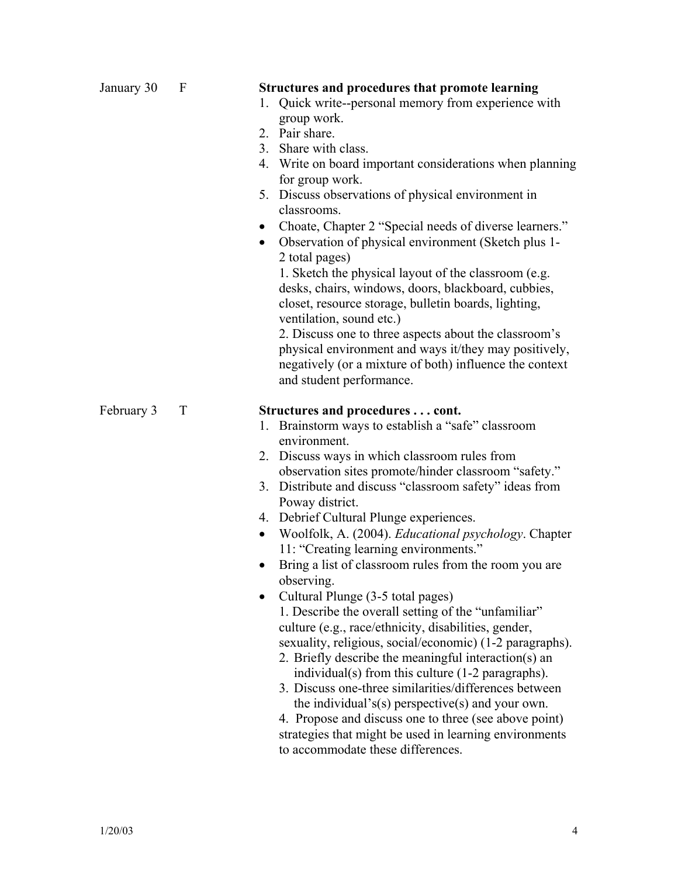|                 | $\bullet$<br>$\bullet$       | 1. Quick write--personal memory from experience with<br>group work.<br>2. Pair share.<br>3. Share with class.<br>4. Write on board important considerations when planning<br>for group work.<br>5. Discuss observations of physical environment in<br>classrooms.<br>Choate, Chapter 2 "Special needs of diverse learners."<br>Observation of physical environment (Sketch plus 1-<br>2 total pages)<br>1. Sketch the physical layout of the classroom (e.g.<br>desks, chairs, windows, doors, blackboard, cubbies,<br>closet, resource storage, bulletin boards, lighting,<br>ventilation, sound etc.)<br>2. Discuss one to three aspects about the classroom's<br>physical environment and ways it/they may positively,<br>negatively (or a mixture of both) influence the context<br>and student performance.                                                                                                                                                                                                                                                                                               |
|-----------------|------------------------------|----------------------------------------------------------------------------------------------------------------------------------------------------------------------------------------------------------------------------------------------------------------------------------------------------------------------------------------------------------------------------------------------------------------------------------------------------------------------------------------------------------------------------------------------------------------------------------------------------------------------------------------------------------------------------------------------------------------------------------------------------------------------------------------------------------------------------------------------------------------------------------------------------------------------------------------------------------------------------------------------------------------------------------------------------------------------------------------------------------------|
| February 3<br>T | 1.<br>$\bullet$<br>$\bullet$ | Structures and procedures cont.<br>Brainstorm ways to establish a "safe" classroom<br>environment.<br>2. Discuss ways in which classroom rules from<br>observation sites promote/hinder classroom "safety."<br>3. Distribute and discuss "classroom safety" ideas from<br>Poway district.<br>4. Debrief Cultural Plunge experiences.<br>Woolfolk, A. (2004). Educational psychology. Chapter<br>11: "Creating learning environments."<br>Bring a list of classroom rules from the room you are<br>observing.<br>Cultural Plunge (3-5 total pages)<br>1. Describe the overall setting of the "unfamiliar"<br>culture (e.g., race/ethnicity, disabilities, gender,<br>sexuality, religious, social/economic) (1-2 paragraphs).<br>2. Briefly describe the meaningful interaction(s) an<br>individual(s) from this culture (1-2 paragraphs).<br>3. Discuss one-three similarities/differences between<br>the individual's(s) perspective(s) and your own.<br>4. Propose and discuss one to three (see above point)<br>strategies that might be used in learning environments<br>to accommodate these differences. |

January 30 F **Structures and procedures that promote learning**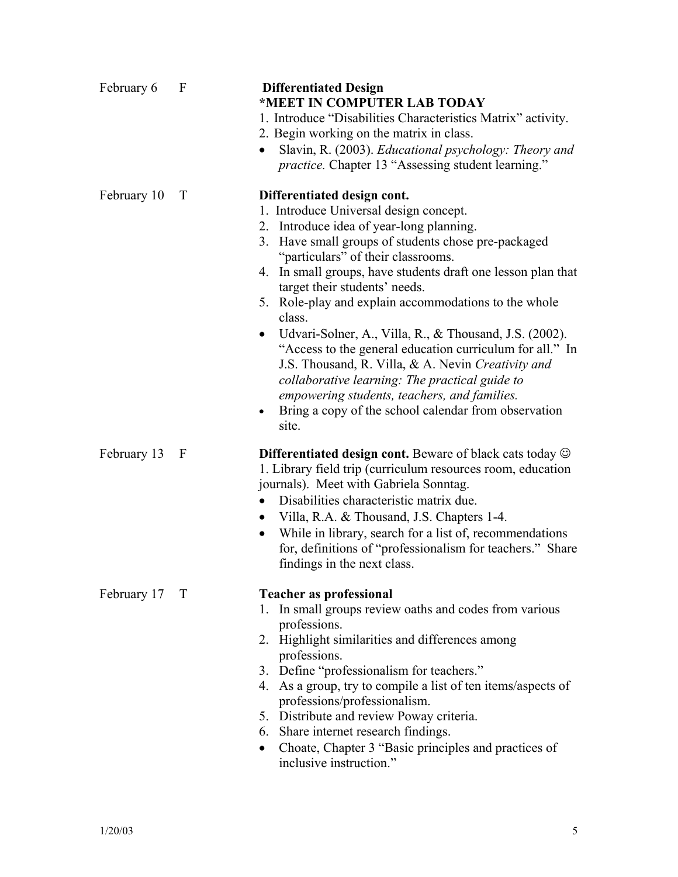| February 6  | F      | <b>Differentiated Design</b><br>*MEET IN COMPUTER LAB TODAY<br>1. Introduce "Disabilities Characteristics Matrix" activity.<br>2. Begin working on the matrix in class.<br>Slavin, R. (2003). Educational psychology: Theory and<br><i>practice</i> . Chapter 13 "Assessing student learning."                                                                                                                                                                                                                                                                                                                                                                                                                                                             |
|-------------|--------|------------------------------------------------------------------------------------------------------------------------------------------------------------------------------------------------------------------------------------------------------------------------------------------------------------------------------------------------------------------------------------------------------------------------------------------------------------------------------------------------------------------------------------------------------------------------------------------------------------------------------------------------------------------------------------------------------------------------------------------------------------|
| February 10 | T      | Differentiated design cont.<br>1. Introduce Universal design concept.<br>2. Introduce idea of year-long planning.<br>3. Have small groups of students chose pre-packaged<br>"particulars" of their classrooms.<br>4. In small groups, have students draft one lesson plan that<br>target their students' needs.<br>5. Role-play and explain accommodations to the whole<br>class.<br>Udvari-Solner, A., Villa, R., & Thousand, J.S. (2002).<br>$\bullet$<br>"Access to the general education curriculum for all." In<br>J.S. Thousand, R. Villa, & A. Nevin Creativity and<br>collaborative learning: The practical guide to<br>empowering students, teachers, and families.<br>Bring a copy of the school calendar from observation<br>$\bullet$<br>site. |
| February 13 | F      | <b>Differentiated design cont.</b> Beware of black cats today $\odot$<br>1. Library field trip (curriculum resources room, education<br>journals). Meet with Gabriela Sonntag.<br>Disabilities characteristic matrix due.<br>Villa, R.A. & Thousand, J.S. Chapters 1-4.<br>$\bullet$<br>While in library, search for a list of, recommendations<br>$\bullet$<br>for, definitions of "professionalism for teachers." Share<br>findings in the next class.                                                                                                                                                                                                                                                                                                   |
| February 17 | $\top$ | <b>Teacher as professional</b><br>1. In small groups review oaths and codes from various<br>professions.<br>2. Highlight similarities and differences among<br>professions.<br>3. Define "professionalism for teachers."<br>4. As a group, try to compile a list of ten items/aspects of<br>professions/professionalism.<br>5. Distribute and review Poway criteria.<br>6. Share internet research findings.<br>Choate, Chapter 3 "Basic principles and practices of<br>inclusive instruction."                                                                                                                                                                                                                                                            |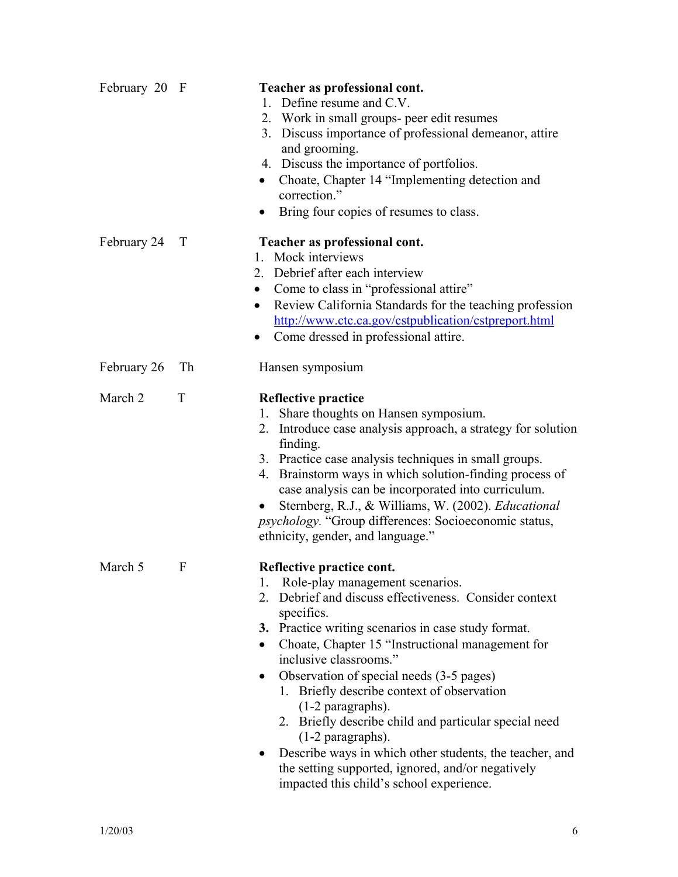| February 20 F |    | Teacher as professional cont.<br>Define resume and C.V.<br>$1_{-}$<br>2. Work in small groups- peer edit resumes<br>3. Discuss importance of professional demeanor, attire<br>and grooming.<br>4. Discuss the importance of portfolios.<br>Choate, Chapter 14 "Implementing detection and<br>correction."<br>Bring four copies of resumes to class.                                                                                                                                                                                                                                                                                                          |
|---------------|----|--------------------------------------------------------------------------------------------------------------------------------------------------------------------------------------------------------------------------------------------------------------------------------------------------------------------------------------------------------------------------------------------------------------------------------------------------------------------------------------------------------------------------------------------------------------------------------------------------------------------------------------------------------------|
| February 24   | T  | Teacher as professional cont.<br>1. Mock interviews<br>2. Debrief after each interview<br>Come to class in "professional attire"<br>$\bullet$<br>Review California Standards for the teaching profession<br>$\bullet$<br>http://www.ctc.ca.gov/cstpublication/cstpreport.html<br>Come dressed in professional attire.                                                                                                                                                                                                                                                                                                                                        |
| February 26   | Th | Hansen symposium                                                                                                                                                                                                                                                                                                                                                                                                                                                                                                                                                                                                                                             |
| March 2       | T  | <b>Reflective practice</b><br>Share thoughts on Hansen symposium.<br>1.<br>2. Introduce case analysis approach, a strategy for solution<br>finding.<br>3. Practice case analysis techniques in small groups.<br>Brainstorm ways in which solution-finding process of<br>4.<br>case analysis can be incorporated into curriculum.<br>Sternberg, R.J., & Williams, W. (2002). Educational<br><i>psychology</i> . "Group differences: Socioeconomic status,<br>ethnicity, gender, and language."                                                                                                                                                                |
| March 5       | F  | Reflective practice cont.<br>Role-play management scenarios.<br>1.<br>Debrief and discuss effectiveness. Consider context<br>2.<br>specifics.<br>3. Practice writing scenarios in case study format.<br>Choate, Chapter 15 "Instructional management for<br>inclusive classrooms."<br>Observation of special needs (3-5 pages)<br>1. Briefly describe context of observation<br>$(1-2$ paragraphs).<br>2. Briefly describe child and particular special need<br>$(1-2$ paragraphs).<br>Describe ways in which other students, the teacher, and<br>$\bullet$<br>the setting supported, ignored, and/or negatively<br>impacted this child's school experience. |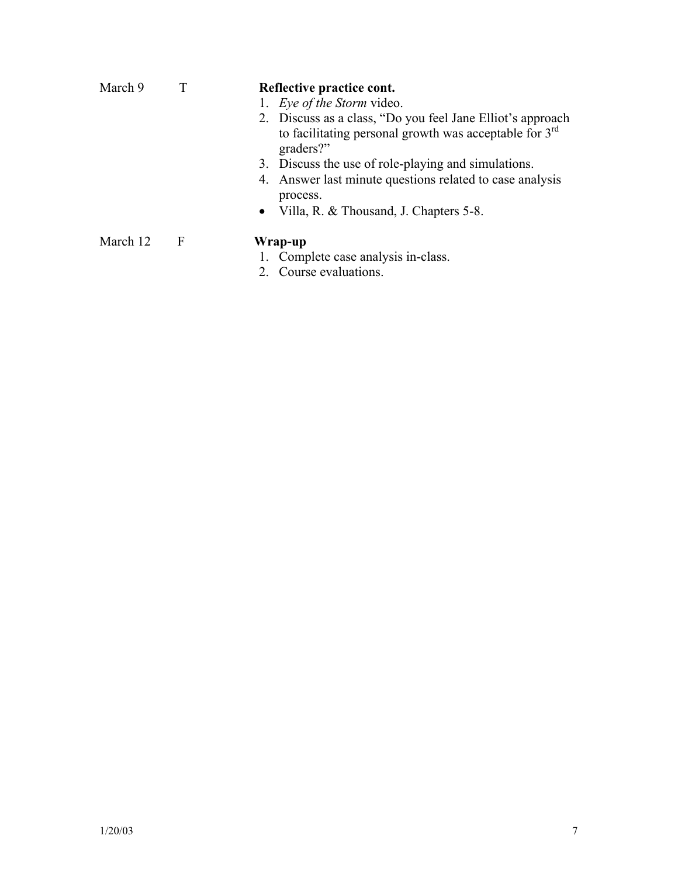| March 9  |     | Reflective practice cont.<br>1. Eye of the Storm video.<br>2. Discuss as a class, "Do you feel Jane Elliot's approach"<br>to facilitating personal growth was acceptable for $3rd$<br>graders?"<br>3. Discuss the use of role-playing and simulations.<br>4. Answer last minute questions related to case analysis<br>process.<br>Villa, R. & Thousand, J. Chapters 5-8.<br>$\bullet$ |
|----------|-----|---------------------------------------------------------------------------------------------------------------------------------------------------------------------------------------------------------------------------------------------------------------------------------------------------------------------------------------------------------------------------------------|
| March 12 | – F | Wrap-up<br>1. Complete case analysis in-class.<br>2. Course evaluations.                                                                                                                                                                                                                                                                                                              |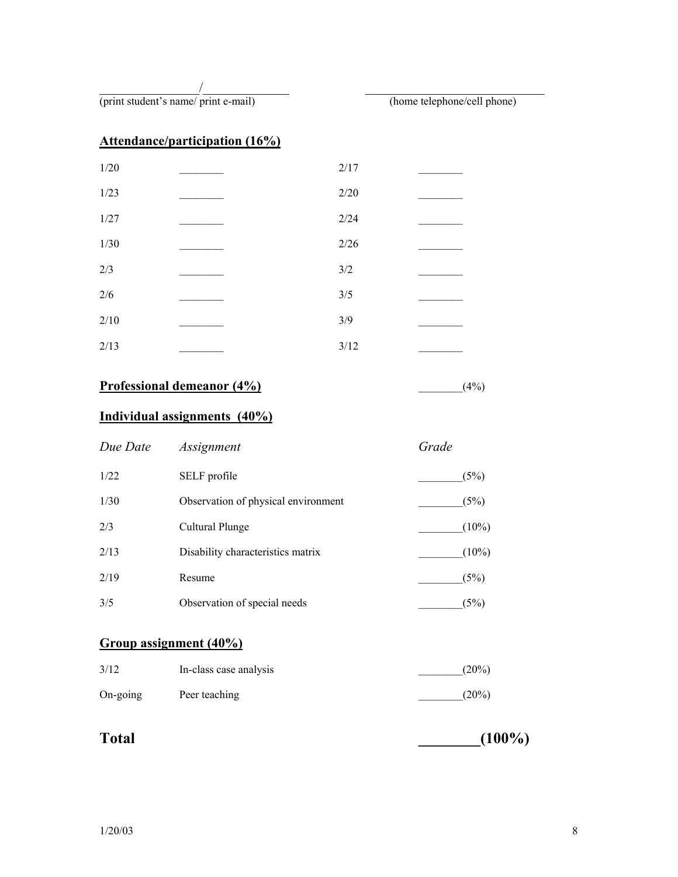$\overline{\phantom{a}}$ 

(print student's name/ print e-mail) (home telephone/cell phone)

## **Attendance/participation (16%)**

| 1/20   | 2/17  |  |
|--------|-------|--|
| 1/23   | 2/20  |  |
| 1/27   | 2/24  |  |
| $1/30$ | 2/26  |  |
| 2/3    | $3/2$ |  |
| $2/6$  | 3/5   |  |
| 2/10   | 3/9   |  |
| 2/13   | 3/12  |  |

## **Professional demeanor (4%)** \_\_\_\_\_\_\_\_(4%)

## **Individual assignments (40%)**

| Due Date | Assignment                          | Grade    |
|----------|-------------------------------------|----------|
| 1/22     | SELF profile                        | (5%)     |
| 1/30     | Observation of physical environment | (5%)     |
| 2/3      | Cultural Plunge                     | $(10\%)$ |
| 2/13     | Disability characteristics matrix   | $(10\%)$ |
| 2/19     | Resume                              | (5%)     |
| 3/5      | Observation of special needs        | (5%)     |

## **Group assignment (40%)**

| 3/12     | In-class case analysis | $(20\%)$ |
|----------|------------------------|----------|
| On-going | Peer teaching          | $(20\%)$ |

Total (100%)